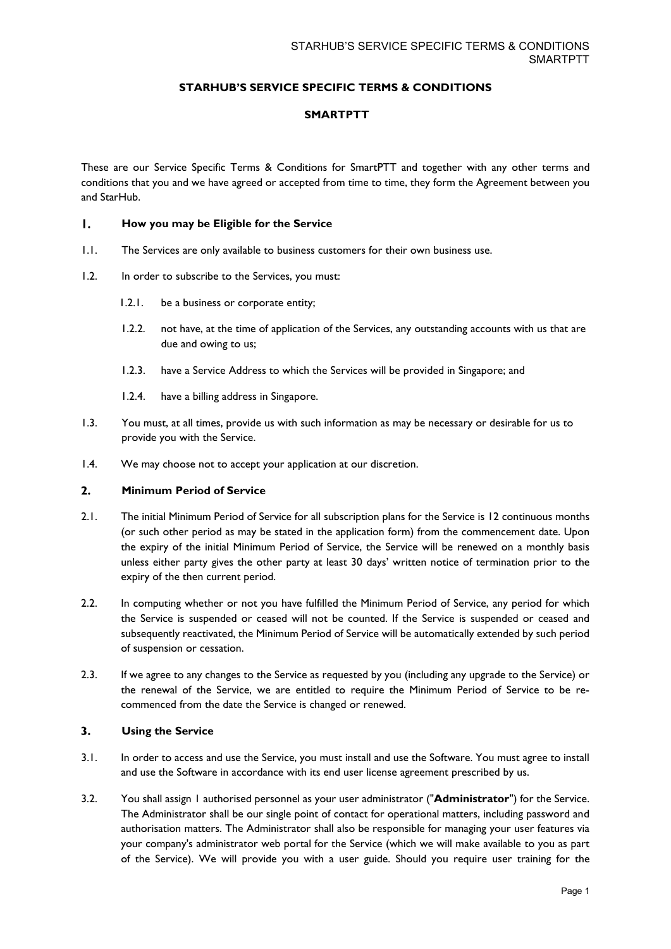# **STARHUB'S SERVICE SPECIFIC TERMS & CONDITIONS**

## **SMARTPTT**

These are our Service Specific Terms & Conditions for SmartPTT and together with any other terms and conditions that you and we have agreed or accepted from time to time, they form the Agreement between you and StarHub.

#### $\mathbf{L}$ **How you may be Eligible for the Service**

- 1.1. The Services are only available to business customers for their own business use.
- 1.2. In order to subscribe to the Services, you must:
	- 1.2.1. be a business or corporate entity;
	- 1.2.2. not have, at the time of application of the Services, any outstanding accounts with us that are due and owing to us;
	- 1.2.3. have a Service Address to which the Services will be provided in Singapore; and
	- 1.2.4. have a billing address in Singapore.
- 1.3. You must, at all times, provide us with such information as may be necessary or desirable for us to provide you with the Service.
- 1.4. We may choose not to accept your application at our discretion.

#### $2.$ **Minimum Period of Service**

- 2.1. The initial Minimum Period of Service for all subscription plans for the Service is 12 continuous months (or such other period as may be stated in the application form) from the commencement date. Upon the expiry of the initial Minimum Period of Service, the Service will be renewed on a monthly basis unless either party gives the other party at least 30 days' written notice of termination prior to the expiry of the then current period.
- 2.2. In computing whether or not you have fulfilled the Minimum Period of Service, any period for which the Service is suspended or ceased will not be counted. If the Service is suspended or ceased and subsequently reactivated, the Minimum Period of Service will be automatically extended by such period of suspension or cessation.
- 2.3. If we agree to any changes to the Service as requested by you (including any upgrade to the Service) or the renewal of the Service, we are entitled to require the Minimum Period of Service to be recommenced from the date the Service is changed or renewed.

#### $3.$ **Using the Service**

- 3.1. In order to access and use the Service, you must install and use the Software. You must agree to install and use the Software in accordance with its end user license agreement prescribed by us.
- 3.2. You shall assign 1 authorised personnel as your user administrator ("**Administrator**") for the Service. The Administrator shall be our single point of contact for operational matters, including password and authorisation matters. The Administrator shall also be responsible for managing your user features via your company's administrator web portal for the Service (which we will make available to you as part of the Service). We will provide you with a user guide. Should you require user training for the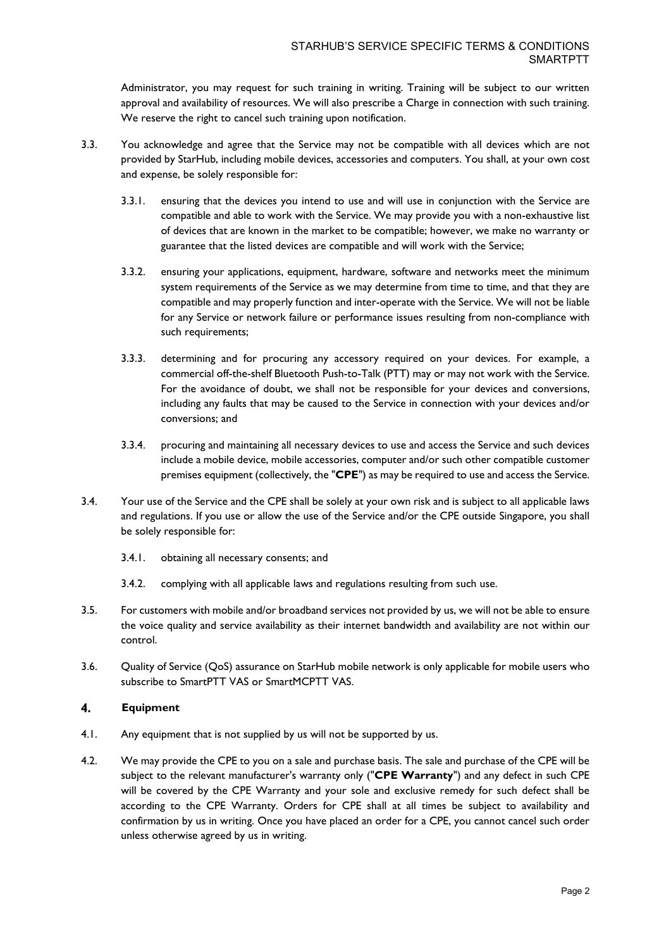Administrator, you may request for such training in writing. Training will be subject to our written approval and availability of resources. We will also prescribe a Charge in connection with such training. We reserve the right to cancel such training upon notification.

- 3.3. You acknowledge and agree that the Service may not be compatible with all devices which are not provided by StarHub, including mobile devices, accessories and computers. You shall, at your own cost and expense, be solely responsible for:
	- 3.3.1. ensuring that the devices you intend to use and will use in conjunction with the Service are compatible and able to work with the Service. We may provide you with a non-exhaustive list of devices that are known in the market to be compatible; however, we make no warranty or guarantee that the listed devices are compatible and will work with the Service;
	- 3.3.2. ensuring your applications, equipment, hardware, software and networks meet the minimum system requirements of the Service as we may determine from time to time, and that they are compatible and may properly function and inter-operate with the Service. We will not be liable for any Service or network failure or performance issues resulting from non-compliance with such requirements;
	- 3.3.3. determining and for procuring any accessory required on your devices. For example, a commercial off-the-shelf Bluetooth Push-to-Talk (PTT) may or may not work with the Service. For the avoidance of doubt, we shall not be responsible for your devices and conversions, including any faults that may be caused to the Service in connection with your devices and/or conversions; and
	- 3.3.4. procuring and maintaining all necessary devices to use and access the Service and such devices include a mobile device, mobile accessories, computer and/or such other compatible customer premises equipment (collectively, the "**CPE**") as may be required to use and access the Service.
- 3.4. Your use of the Service and the CPE shall be solely at your own risk and is subject to all applicable laws and regulations. If you use or allow the use of the Service and/or the CPE outside Singapore, you shall be solely responsible for:
	- 3.4.1. obtaining all necessary consents; and
	- 3.4.2. complying with all applicable laws and regulations resulting from such use.
- 3.5. For customers with mobile and/or broadband services not provided by us, we will not be able to ensure the voice quality and service availability as their internet bandwidth and availability are not within our control.
- 3.6. Quality of Service (QoS) assurance on StarHub mobile network is only applicable for mobile users who subscribe to SmartPTT VAS or SmartMCPTT VAS.

## $4.$ **Equipment**

- 4.1. Any equipment that is not supplied by us will not be supported by us.
- 4.2. We may provide the CPE to you on a sale and purchase basis. The sale and purchase of the CPE will be subject to the relevant manufacturer's warranty only ("**CPE Warranty**") and any defect in such CPE will be covered by the CPE Warranty and your sole and exclusive remedy for such defect shall be according to the CPE Warranty. Orders for CPE shall at all times be subject to availability and confirmation by us in writing. Once you have placed an order for a CPE, you cannot cancel such order unless otherwise agreed by us in writing.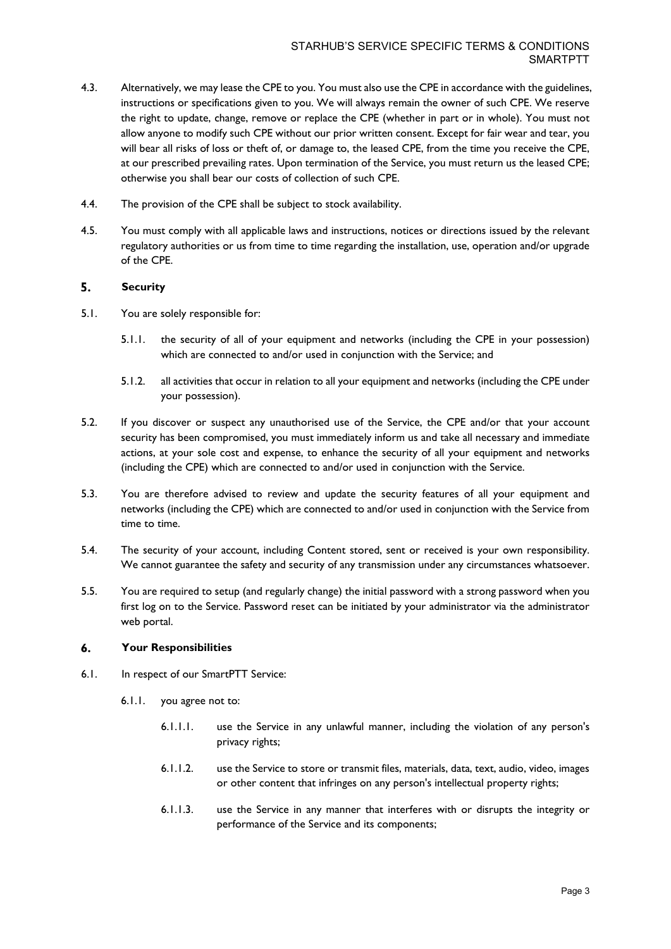- 4.3. Alternatively, we may lease the CPE to you. You must also use the CPE in accordance with the guidelines, instructions or specifications given to you. We will always remain the owner of such CPE. We reserve the right to update, change, remove or replace the CPE (whether in part or in whole). You must not allow anyone to modify such CPE without our prior written consent. Except for fair wear and tear, you will bear all risks of loss or theft of, or damage to, the leased CPE, from the time you receive the CPE, at our prescribed prevailing rates. Upon termination of the Service, you must return us the leased CPE; otherwise you shall bear our costs of collection of such CPE.
- 4.4. The provision of the CPE shall be subject to stock availability.
- 4.5. You must comply with all applicable laws and instructions, notices or directions issued by the relevant regulatory authorities or us from time to time regarding the installation, use, operation and/or upgrade of the CPE.

#### 5. **Security**

- 5.1. You are solely responsible for:
	- 5.1.1. the security of all of your equipment and networks (including the CPE in your possession) which are connected to and/or used in conjunction with the Service; and
	- 5.1.2. all activities that occur in relation to all your equipment and networks (including the CPE under your possession).
- 5.2. If you discover or suspect any unauthorised use of the Service, the CPE and/or that your account security has been compromised, you must immediately inform us and take all necessary and immediate actions, at your sole cost and expense, to enhance the security of all your equipment and networks (including the CPE) which are connected to and/or used in conjunction with the Service.
- 5.3. You are therefore advised to review and update the security features of all your equipment and networks (including the CPE) which are connected to and/or used in conjunction with the Service from time to time.
- 5.4. The security of your account, including Content stored, sent or received is your own responsibility. We cannot guarantee the safety and security of any transmission under any circumstances whatsoever.
- 5.5. You are required to setup (and regularly change) the initial password with a strong password when you first log on to the Service. Password reset can be initiated by your administrator via the administrator web portal.

#### 6. **Your Responsibilities**

- 6.1. In respect of our SmartPTT Service:
	- 6.1.1. you agree not to:
		- 6.1.1.1. use the Service in any unlawful manner, including the violation of any person's privacy rights;
		- 6.1.1.2. use the Service to store or transmit files, materials, data, text, audio, video, images or other content that infringes on any person's intellectual property rights;
		- 6.1.1.3. use the Service in any manner that interferes with or disrupts the integrity or performance of the Service and its components;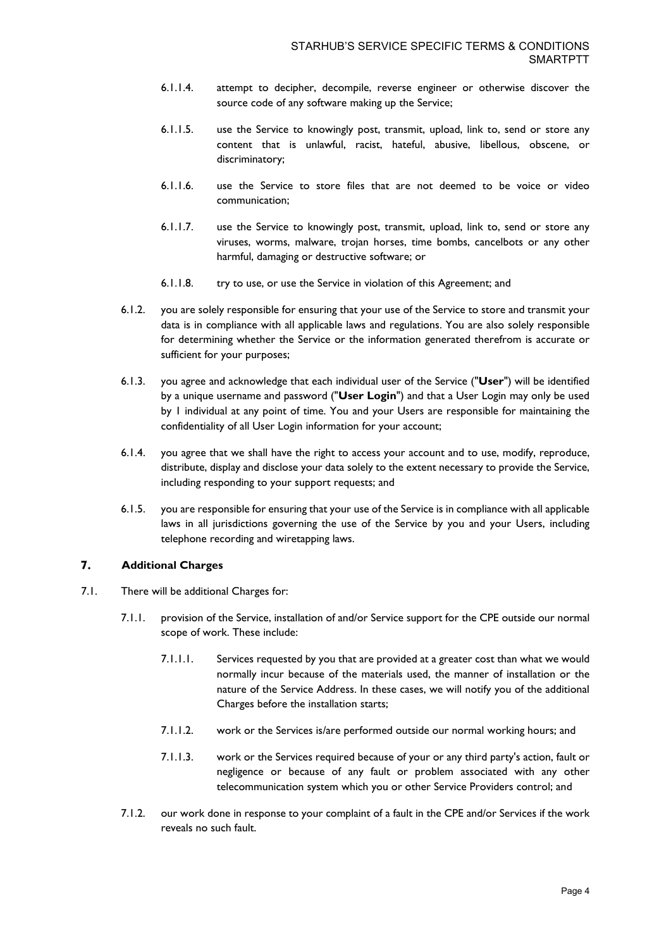- 6.1.1.4. attempt to decipher, decompile, reverse engineer or otherwise discover the source code of any software making up the Service;
- 6.1.1.5. use the Service to knowingly post, transmit, upload, link to, send or store any content that is unlawful, racist, hateful, abusive, libellous, obscene, or discriminatory;
- 6.1.1.6. use the Service to store files that are not deemed to be voice or video communication;
- 6.1.1.7. use the Service to knowingly post, transmit, upload, link to, send or store any viruses, worms, malware, trojan horses, time bombs, cancelbots or any other harmful, damaging or destructive software; or
- 6.1.1.8. try to use, or use the Service in violation of this Agreement; and
- 6.1.2. you are solely responsible for ensuring that your use of the Service to store and transmit your data is in compliance with all applicable laws and regulations. You are also solely responsible for determining whether the Service or the information generated therefrom is accurate or sufficient for your purposes;
- 6.1.3. you agree and acknowledge that each individual user of the Service ("**User**") will be identified by a unique username and password ("**User Login**") and that a User Login may only be used by 1 individual at any point of time. You and your Users are responsible for maintaining the confidentiality of all User Login information for your account;
- 6.1.4. you agree that we shall have the right to access your account and to use, modify, reproduce, distribute, display and disclose your data solely to the extent necessary to provide the Service, including responding to your support requests; and
- 6.1.5. you are responsible for ensuring that your use of the Service is in compliance with all applicable laws in all jurisdictions governing the use of the Service by you and your Users, including telephone recording and wiretapping laws.

## $\overline{7}$ . **Additional Charges**

- 7.1. There will be additional Charges for:
	- 7.1.1. provision of the Service, installation of and/or Service support for the CPE outside our normal scope of work. These include:
		- 7.1.1.1. Services requested by you that are provided at a greater cost than what we would normally incur because of the materials used, the manner of installation or the nature of the Service Address. In these cases, we will notify you of the additional Charges before the installation starts;
		- 7.1.1.2. work or the Services is/are performed outside our normal working hours; and
		- 7.1.1.3. work or the Services required because of your or any third party's action, fault or negligence or because of any fault or problem associated with any other telecommunication system which you or other Service Providers control; and
	- 7.1.2. our work done in response to your complaint of a fault in the CPE and/or Services if the work reveals no such fault.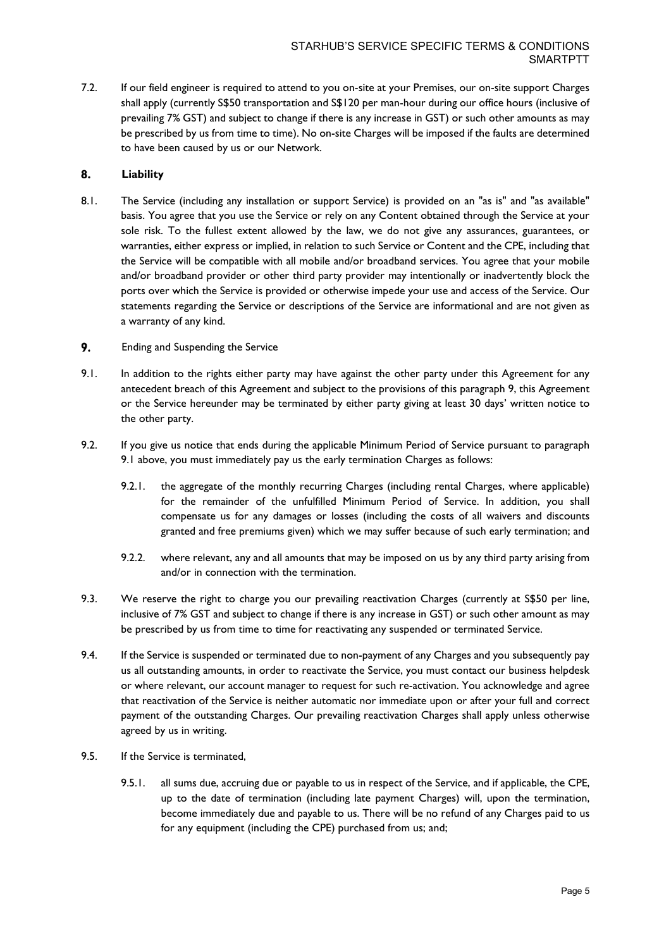7.2. If our field engineer is required to attend to you on-site at your Premises, our on-site support Charges shall apply (currently S\$50 transportation and S\$120 per man-hour during our office hours (inclusive of prevailing 7% GST) and subject to change if there is any increase in GST) or such other amounts as may be prescribed by us from time to time). No on-site Charges will be imposed if the faults are determined to have been caused by us or our Network.

### 8. **Liability**

- 8.1. The Service (including any installation or support Service) is provided on an "as is" and "as available" basis. You agree that you use the Service or rely on any Content obtained through the Service at your sole risk. To the fullest extent allowed by the law, we do not give any assurances, guarantees, or warranties, either express or implied, in relation to such Service or Content and the CPE, including that the Service will be compatible with all mobile and/or broadband services. You agree that your mobile and/or broadband provider or other third party provider may intentionally or inadvertently block the ports over which the Service is provided or otherwise impede your use and access of the Service. Our statements regarding the Service or descriptions of the Service are informational and are not given as a warranty of any kind.
- 9. Ending and Suspending the Service
- 9.1. In addition to the rights either party may have against the other party under this Agreement for any antecedent breach of this Agreement and subject to the provisions of this paragraph 9, this Agreement or the Service hereunder may be terminated by either party giving at least 30 days' written notice to the other party.
- 9.2. If you give us notice that ends during the applicable Minimum Period of Service pursuant to paragraph 9.1 above, you must immediately pay us the early termination Charges as follows:
	- 9.2.1. the aggregate of the monthly recurring Charges (including rental Charges, where applicable) for the remainder of the unfulfilled Minimum Period of Service. In addition, you shall compensate us for any damages or losses (including the costs of all waivers and discounts granted and free premiums given) which we may suffer because of such early termination; and
	- 9.2.2. where relevant, any and all amounts that may be imposed on us by any third party arising from and/or in connection with the termination.
- 9.3. We reserve the right to charge you our prevailing reactivation Charges (currently at S\$50 per line, inclusive of 7% GST and subject to change if there is any increase in GST) or such other amount as may be prescribed by us from time to time for reactivating any suspended or terminated Service.
- 9.4. If the Service is suspended or terminated due to non-payment of any Charges and you subsequently pay us all outstanding amounts, in order to reactivate the Service, you must contact our business helpdesk or where relevant, our account manager to request for such re-activation. You acknowledge and agree that reactivation of the Service is neither automatic nor immediate upon or after your full and correct payment of the outstanding Charges. Our prevailing reactivation Charges shall apply unless otherwise agreed by us in writing.
- 9.5. If the Service is terminated,
	- 9.5.1. all sums due, accruing due or payable to us in respect of the Service, and if applicable, the CPE, up to the date of termination (including late payment Charges) will, upon the termination, become immediately due and payable to us. There will be no refund of any Charges paid to us for any equipment (including the CPE) purchased from us; and;